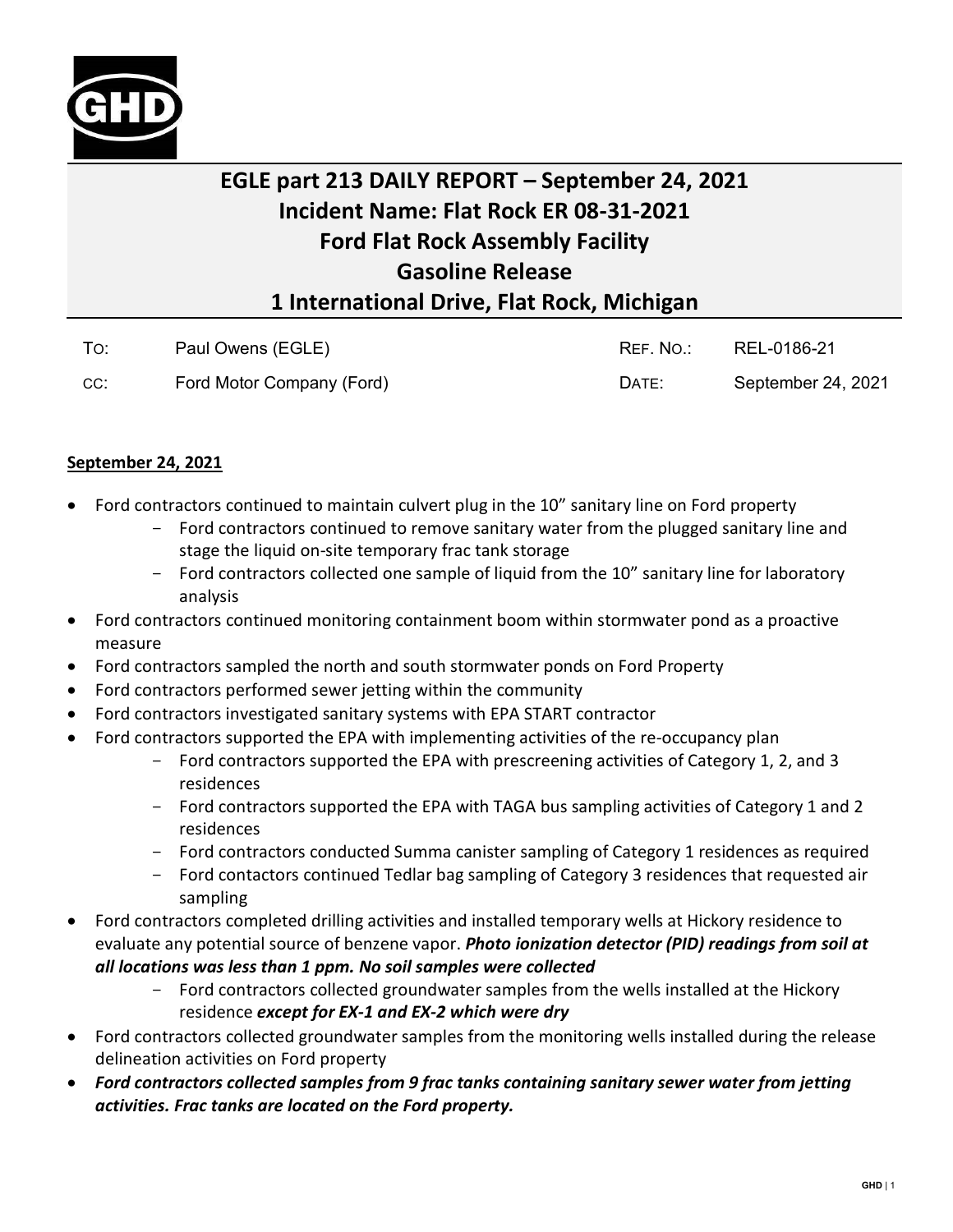

## **EGLE part 213 DAILY REPORT – September 24, 2021 Incident Name: Flat Rock ER 08-31-2021 Ford Flat Rock Assembly Facility Gasoline Release 1 International Drive, Flat Rock, Michigan**

| To: | Paul Owens (EGLE)         | REF. NO.: | REL-0186-21        |
|-----|---------------------------|-----------|--------------------|
| CC: | Ford Motor Company (Ford) | DATE:     | September 24, 2021 |

## **September 24, 2021**

- Ford contractors continued to maintain culvert plug in the 10" sanitary line on Ford property
	- Ford contractors continued to remove sanitary water from the plugged sanitary line and stage the liquid on-site temporary frac tank storage
	- Ford contractors collected one sample of liquid from the 10" sanitary line for laboratory analysis
- Ford contractors continued monitoring containment boom within stormwater pond as a proactive measure
- Ford contractors sampled the north and south stormwater ponds on Ford Property
- Ford contractors performed sewer jetting within the community
- Ford contractors investigated sanitary systems with EPA START contractor
- Ford contractors supported the EPA with implementing activities of the re-occupancy plan
	- Ford contractors supported the EPA with prescreening activities of Category 1, 2, and 3 residences
	- Ford contractors supported the EPA with TAGA bus sampling activities of Category 1 and 2 residences
	- Ford contractors conducted Summa canister sampling of Category 1 residences as required
	- Ford contactors continued Tedlar bag sampling of Category 3 residences that requested air sampling
- Ford contractors completed drilling activities and installed temporary wells at Hickory residence to evaluate any potential source of benzene vapor. *Photo ionization detector (PID) readings from soil at all locations was less than 1 ppm. No soil samples were collected*
	- Ford contractors collected groundwater samples from the wells installed at the Hickory residence *except for EX-1 and EX-2 which were dry*
- Ford contractors collected groundwater samples from the monitoring wells installed during the release delineation activities on Ford property
- *Ford contractors collected samples from 9 frac tanks containing sanitary sewer water from jetting activities. Frac tanks are located on the Ford property.*